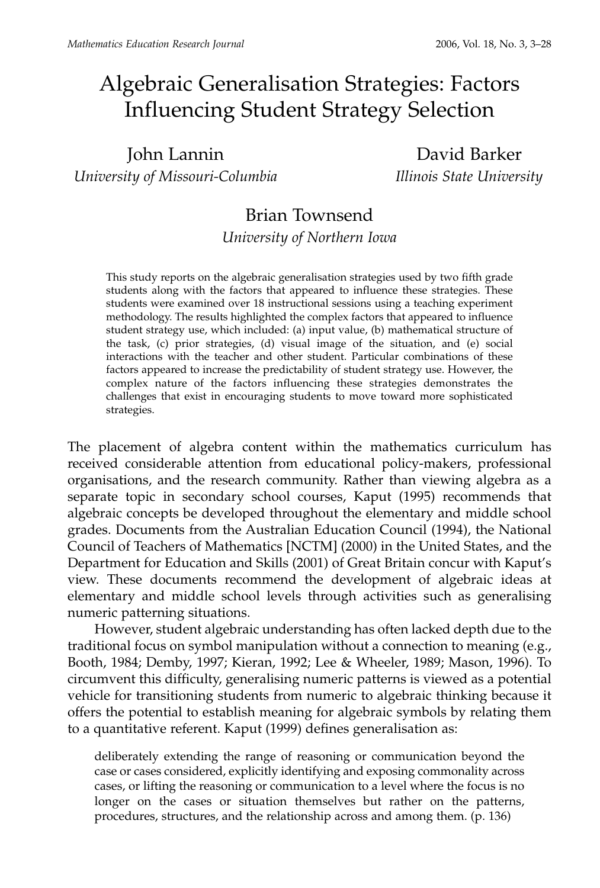# Algebraic Generalisation Strategies: Factors Influencing Student Strategy Selection

John Lannin David Barker *University of Missouri-Columbia Illinois State University*

# Brian Townsend

*University of Northern Iowa*

This study reports on the algebraic generalisation strategies used by two fifth grade students along with the factors that appeared to influence these strategies. These students were examined over 18 instructional sessions using a teaching experiment methodology. The results highlighted the complex factors that appeared to influence student strategy use, which included: (a) input value, (b) mathematical structure of the task, (c) prior strategies, (d) visual image of the situation, and (e) social interactions with the teacher and other student. Particular combinations of these factors appeared to increase the predictability of student strategy use. However, the complex nature of the factors influencing these strategies demonstrates the challenges that exist in encouraging students to move toward more sophisticated strategies.

The placement of algebra content within the mathematics curriculum has received considerable attention from educational policy-makers, professional organisations, and the research community. Rather than viewing algebra as a separate topic in secondary school courses, Kaput (1995) recommends that algebraic concepts be developed throughout the elementary and middle school grades. Documents from the Australian Education Council (1994), the National Council of Teachers of Mathematics [NCTM] (2000) in the United States, and the Department for Education and Skills (2001) of Great Britain concur with Kaput's view. These documents recommend the development of algebraic ideas at elementary and middle school levels through activities such as generalising numeric patterning situations.

However, student algebraic understanding has often lacked depth due to the traditional focus on symbol manipulation without a connection to meaning (e.g., Booth, 1984; Demby, 1997; Kieran, 1992; Lee & Wheeler, 1989; Mason, 1996). To circumvent this difficulty, generalising numeric patterns is viewed as a potential vehicle for transitioning students from numeric to algebraic thinking because it offers the potential to establish meaning for algebraic symbols by relating them to a quantitative referent. Kaput (1999) defines generalisation as:

deliberately extending the range of reasoning or communication beyond the case or cases considered, explicitly identifying and exposing commonality across cases, or lifting the reasoning or communication to a level where the focus is no longer on the cases or situation themselves but rather on the patterns, procedures, structures, and the relationship across and among them. (p. 136)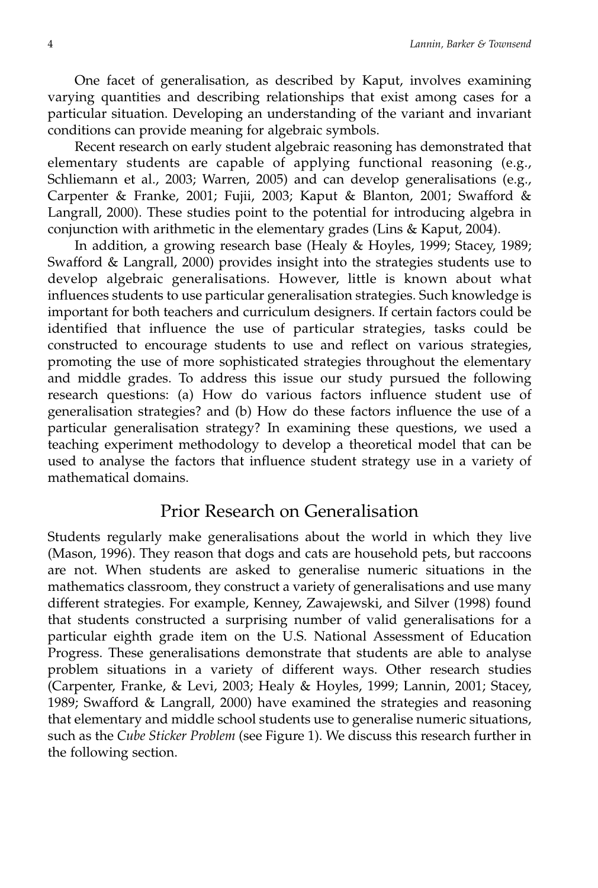One facet of generalisation, as described by Kaput, involves examining varying quantities and describing relationships that exist among cases for a particular situation. Developing an understanding of the variant and invariant conditions can provide meaning for algebraic symbols.

Recent research on early student algebraic reasoning has demonstrated that elementary students are capable of applying functional reasoning (e.g., Schliemann et al., 2003; Warren, 2005) and can develop generalisations (e.g., Carpenter & Franke, 2001; Fujii, 2003; Kaput & Blanton, 2001; Swafford & Langrall, 2000). These studies point to the potential for introducing algebra in conjunction with arithmetic in the elementary grades (Lins & Kaput, 2004).

In addition, a growing research base (Healy & Hoyles, 1999; Stacey, 1989; Swafford & Langrall, 2000) provides insight into the strategies students use to develop algebraic generalisations. However, little is known about what influences students to use particular generalisation strategies. Such knowledge is important for both teachers and curriculum designers. If certain factors could be identified that influence the use of particular strategies, tasks could be constructed to encourage students to use and reflect on various strategies, promoting the use of more sophisticated strategies throughout the elementary and middle grades. To address this issue our study pursued the following research questions: (a) How do various factors influence student use of generalisation strategies? and (b) How do these factors influence the use of a particular generalisation strategy? In examining these questions, we used a teaching experiment methodology to develop a theoretical model that can be used to analyse the factors that influence student strategy use in a variety of mathematical domains.

### Prior Research on Generalisation

Students regularly make generalisations about the world in which they live (Mason, 1996). They reason that dogs and cats are household pets, but raccoons are not. When students are asked to generalise numeric situations in the mathematics classroom, they construct a variety of generalisations and use many different strategies. For example, Kenney, Zawajewski, and Silver (1998) found that students constructed a surprising number of valid generalisations for a particular eighth grade item on the U.S. National Assessment of Education Progress. These generalisations demonstrate that students are able to analyse problem situations in a variety of different ways. Other research studies (Carpenter, Franke, & Levi, 2003; Healy & Hoyles, 1999; Lannin, 2001; Stacey, 1989; Swafford & Langrall, 2000) have examined the strategies and reasoning that elementary and middle school students use to generalise numeric situations, such as the *Cube Sticker Problem* (see Figure 1). We discuss this research further in the following section.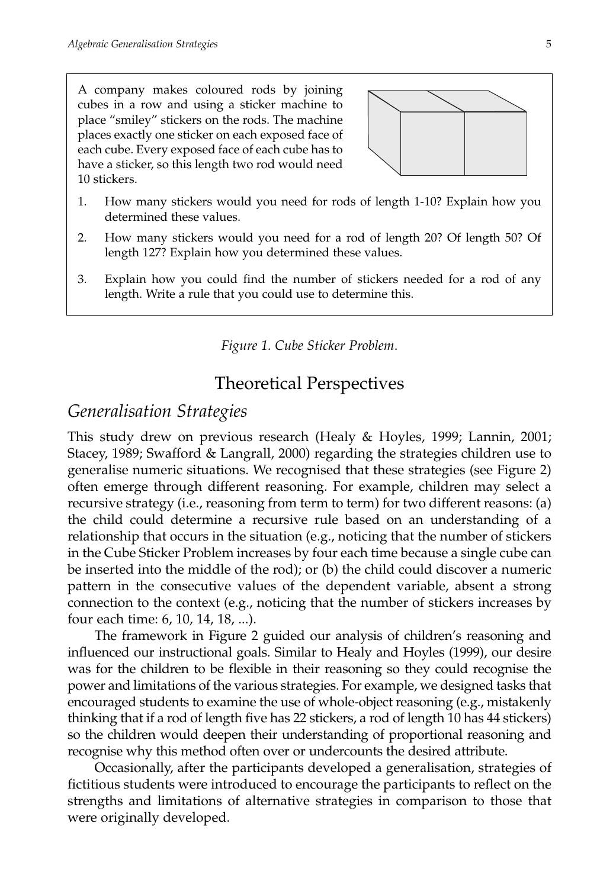A company makes coloured rods by joining cubes in a row and using a sticker machine to place "smiley" stickers on the rods. The machine places exactly one sticker on each exposed face of each cube. Every exposed face of each cube has to have a sticker, so this length two rod would need 10 stickers.



- 1. How many stickers would you need for rods of length 1-10? Explain how you determined these values.
- 2. How many stickers would you need for a rod of length 20? Of length 50? Of length 127? Explain how you determined these values.
- 3. Explain how you could find the number of stickers needed for a rod of any length. Write a rule that you could use to determine this.

*Figure 1. Cube Sticker Problem*.

### Theoretical Perspectives

### *Generalisation Strategies*

This study drew on previous research (Healy & Hoyles, 1999; Lannin, 2001; Stacey, 1989; Swafford & Langrall, 2000) regarding the strategies children use to generalise numeric situations. We recognised that these strategies (see Figure 2) often emerge through different reasoning. For example, children may select a recursive strategy (i.e., reasoning from term to term) for two different reasons: (a) the child could determine a recursive rule based on an understanding of a relationship that occurs in the situation (e.g., noticing that the number of stickers in the Cube Sticker Problem increases by four each time because a single cube can be inserted into the middle of the rod); or (b) the child could discover a numeric pattern in the consecutive values of the dependent variable, absent a strong connection to the context (e.g., noticing that the number of stickers increases by four each time: 6, 10, 14, 18, ...).

The framework in Figure 2 guided our analysis of children's reasoning and influenced our instructional goals. Similar to Healy and Hoyles (1999), our desire was for the children to be flexible in their reasoning so they could recognise the power and limitations of the various strategies. For example, we designed tasks that encouraged students to examine the use of whole-object reasoning (e.g., mistakenly thinking that if a rod of length five has 22 stickers, a rod of length 10 has 44 stickers) so the children would deepen their understanding of proportional reasoning and recognise why this method often over or undercounts the desired attribute.

Occasionally, after the participants developed a generalisation, strategies of fictitious students were introduced to encourage the participants to reflect on the strengths and limitations of alternative strategies in comparison to those that were originally developed.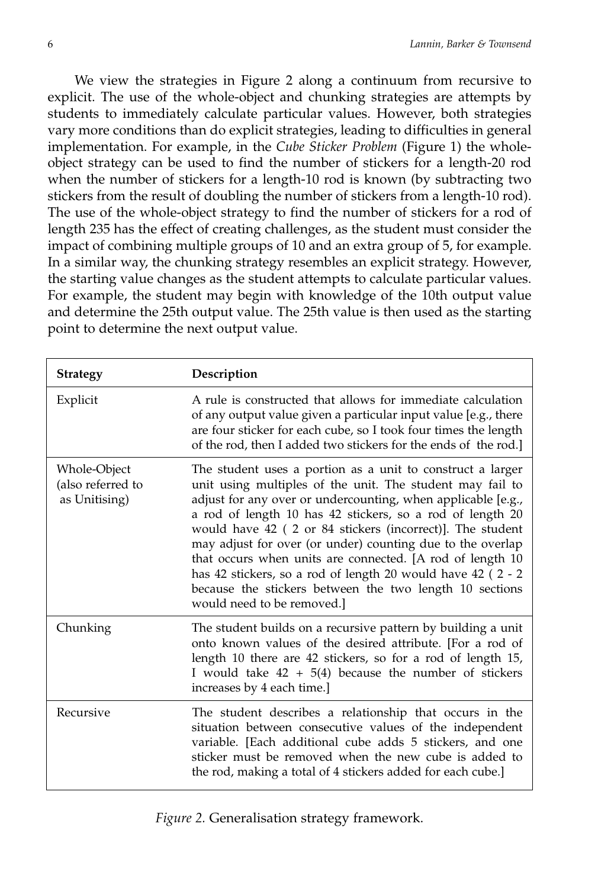We view the strategies in Figure 2 along a continuum from recursive to explicit. The use of the whole-object and chunking strategies are attempts by students to immediately calculate particular values. However, both strategies vary more conditions than do explicit strategies, leading to difficulties in general implementation. For example, in the *Cube Sticker Problem* (Figure 1) the wholeobject strategy can be used to find the number of stickers for a length-20 rod when the number of stickers for a length-10 rod is known (by subtracting two stickers from the result of doubling the number of stickers from a length-10 rod). The use of the whole-object strategy to find the number of stickers for a rod of length 235 has the effect of creating challenges, as the student must consider the impact of combining multiple groups of 10 and an extra group of 5, for example. In a similar way, the chunking strategy resembles an explicit strategy. However, the starting value changes as the student attempts to calculate particular values. For example, the student may begin with knowledge of the 10th output value and determine the 25th output value. The 25th value is then used as the starting point to determine the next output value.

| <b>Strategy</b>                                    | Description                                                                                                                                                                                                                                                                                                                                                                                                                                                                                                                                                                                         |
|----------------------------------------------------|-----------------------------------------------------------------------------------------------------------------------------------------------------------------------------------------------------------------------------------------------------------------------------------------------------------------------------------------------------------------------------------------------------------------------------------------------------------------------------------------------------------------------------------------------------------------------------------------------------|
| Explicit                                           | A rule is constructed that allows for immediate calculation<br>of any output value given a particular input value [e.g., there<br>are four sticker for each cube, so I took four times the length<br>of the rod, then I added two stickers for the ends of the rod.]                                                                                                                                                                                                                                                                                                                                |
| Whole-Object<br>(also referred to<br>as Unitising) | The student uses a portion as a unit to construct a larger<br>unit using multiples of the unit. The student may fail to<br>adjust for any over or undercounting, when applicable [e.g.,<br>a rod of length 10 has 42 stickers, so a rod of length 20<br>would have 42 (2 or 84 stickers (incorrect)]. The student<br>may adjust for over (or under) counting due to the overlap<br>that occurs when units are connected. [A rod of length 10<br>has 42 stickers, so a rod of length 20 would have 42 (2 - 2<br>because the stickers between the two length 10 sections<br>would need to be removed. |
| Chunking                                           | The student builds on a recursive pattern by building a unit<br>onto known values of the desired attribute. [For a rod of<br>length 10 there are 42 stickers, so for a rod of length 15,<br>I would take $42 + 5(4)$ because the number of stickers<br>increases by 4 each time.]                                                                                                                                                                                                                                                                                                                   |
| Recursive                                          | The student describes a relationship that occurs in the<br>situation between consecutive values of the independent<br>variable. [Each additional cube adds 5 stickers, and one<br>sticker must be removed when the new cube is added to<br>the rod, making a total of 4 stickers added for each cube.]                                                                                                                                                                                                                                                                                              |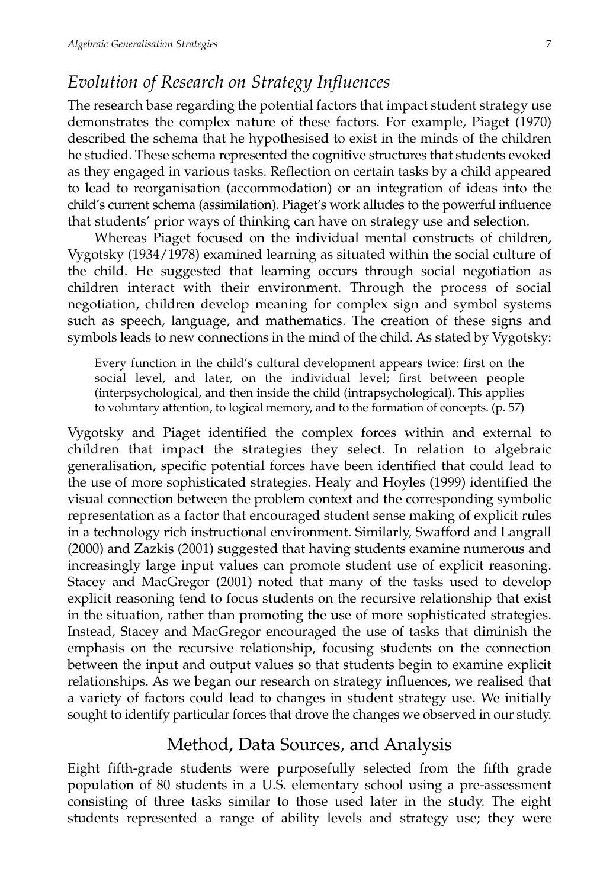### *Evolution of Research on Strategy Influences*

The research base regarding the potential factors that impact student strategy use demonstrates the complex nature of these factors. For example, Piaget (1970) described the schema that he hypothesised to exist in the minds of the children he studied. These schema represented the cognitive structures that students evoked as they engaged in various tasks. Reflection on certain tasks by a child appeared to lead to reorganisation (accommodation) or an integration of ideas into the child's current schema (assimilation). Piaget's work alludes to the powerful influence that students' prior ways of thinking can have on strategy use and selection.

Whereas Piaget focused on the individual mental constructs of children, Vygotsky (1934/1978) examined learning as situated within the social culture of the child. He suggested that learning occurs through social negotiation as children interact with their environment. Through the process of social negotiation, children develop meaning for complex sign and symbol systems such as speech, language, and mathematics. The creation of these signs and symbols leads to new connections in the mind of the child. As stated by Vygotsky:

Every function in the child's cultural development appears twice: first on the social level, and later, on the individual level; first between people (interpsychological, and then inside the child (intrapsychological). This applies to voluntary attention, to logical memory, and to the formation of concepts. (p. 57)

Vygotsky and Piaget identified the complex forces within and external to children that impact the strategies they select. In relation to algebraic generalisation, specific potential forces have been identified that could lead to the use of more sophisticated strategies. Healy and Hoyles (1999) identified the visual connection between the problem context and the corresponding symbolic representation as a factor that encouraged student sense making of explicit rules in a technology rich instructional environment. Similarly, Swafford and Langrall (2000) and Zazkis (2001) suggested that having students examine numerous and increasingly large input values can promote student use of explicit reasoning. Stacey and MacGregor (2001) noted that many of the tasks used to develop explicit reasoning tend to focus students on the recursive relationship that exist in the situation, rather than promoting the use of more sophisticated strategies. Instead, Stacey and MacGregor encouraged the use of tasks that diminish the emphasis on the recursive relationship, focusing students on the connection between the input and output values so that students begin to examine explicit relationships. As we began our research on strategy influences, we realised that a variety of factors could lead to changes in student strategy use. We initially sought to identify particular forces that drove the changes we observed in our study.

### Method, Data Sources, and Analysis

Eight fifth-grade students were purposefully selected from the fifth grade population of 80 students in a U.S. elementary school using a pre-assessment consisting of three tasks similar to those used later in the study. The eight students represented a range of ability levels and strategy use; they were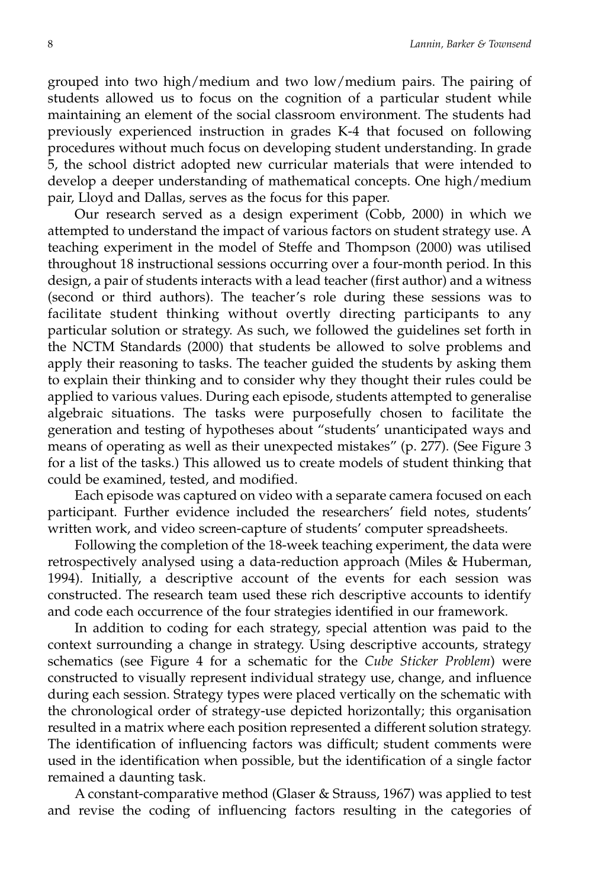grouped into two high/medium and two low/medium pairs. The pairing of students allowed us to focus on the cognition of a particular student while maintaining an element of the social classroom environment. The students had previously experienced instruction in grades K-4 that focused on following procedures without much focus on developing student understanding. In grade 5, the school district adopted new curricular materials that were intended to develop a deeper understanding of mathematical concepts. One high/medium pair, Lloyd and Dallas, serves as the focus for this paper.

Our research served as a design experiment (Cobb, 2000) in which we attempted to understand the impact of various factors on student strategy use. A teaching experiment in the model of Steffe and Thompson (2000) was utilised throughout 18 instructional sessions occurring over a four-month period. In this design, a pair of students interacts with a lead teacher (first author) and a witness (second or third authors). The teacher's role during these sessions was to facilitate student thinking without overtly directing participants to any particular solution or strategy. As such, we followed the guidelines set forth in the NCTM Standards (2000) that students be allowed to solve problems and apply their reasoning to tasks. The teacher guided the students by asking them to explain their thinking and to consider why they thought their rules could be applied to various values. During each episode, students attempted to generalise algebraic situations. The tasks were purposefully chosen to facilitate the generation and testing of hypotheses about "students' unanticipated ways and means of operating as well as their unexpected mistakes" (p. 277). (See Figure 3 for a list of the tasks.) This allowed us to create models of student thinking that could be examined, tested, and modified.

Each episode was captured on video with a separate camera focused on each participant. Further evidence included the researchers' field notes, students' written work, and video screen-capture of students' computer spreadsheets.

Following the completion of the 18-week teaching experiment, the data were retrospectively analysed using a data-reduction approach (Miles & Huberman, 1994). Initially, a descriptive account of the events for each session was constructed. The research team used these rich descriptive accounts to identify and code each occurrence of the four strategies identified in our framework.

In addition to coding for each strategy, special attention was paid to the context surrounding a change in strategy. Using descriptive accounts, strategy schematics (see Figure 4 for a schematic for the *Cube Sticker Problem*) were constructed to visually represent individual strategy use, change, and influence during each session. Strategy types were placed vertically on the schematic with the chronological order of strategy-use depicted horizontally; this organisation resulted in a matrix where each position represented a different solution strategy. The identification of influencing factors was difficult; student comments were used in the identification when possible, but the identification of a single factor remained a daunting task.

A constant-comparative method (Glaser & Strauss, 1967) was applied to test and revise the coding of influencing factors resulting in the categories of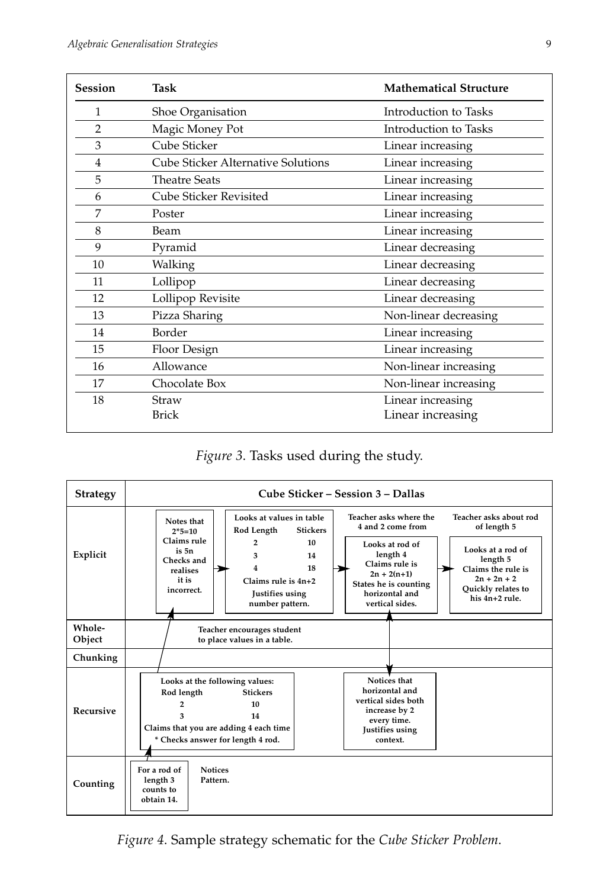| <b>Session</b> | Task                               | <b>Mathematical Structure</b>          |  |  |  |  |
|----------------|------------------------------------|----------------------------------------|--|--|--|--|
| 1              | Shoe Organisation                  | Introduction to Tasks                  |  |  |  |  |
| 2              | Magic Money Pot                    | Introduction to Tasks                  |  |  |  |  |
| 3              | Cube Sticker                       | Linear increasing                      |  |  |  |  |
| $\overline{4}$ | Cube Sticker Alternative Solutions | Linear increasing                      |  |  |  |  |
| 5              | <b>Theatre Seats</b>               | Linear increasing                      |  |  |  |  |
| 6              | Cube Sticker Revisited             | Linear increasing                      |  |  |  |  |
| 7              | Poster                             | Linear increasing                      |  |  |  |  |
| 8              | Beam                               | Linear increasing                      |  |  |  |  |
| 9              | Pyramid                            | Linear decreasing                      |  |  |  |  |
| 10             | Walking                            | Linear decreasing                      |  |  |  |  |
| 11             | Lollipop                           | Linear decreasing                      |  |  |  |  |
| 12             | Lollipop Revisite                  | Linear decreasing                      |  |  |  |  |
| 13             | Pizza Sharing                      | Non-linear decreasing                  |  |  |  |  |
| 14             | Border                             | Linear increasing                      |  |  |  |  |
| 15             | Floor Design                       | Linear increasing                      |  |  |  |  |
| 16             | Allowance                          | Non-linear increasing                  |  |  |  |  |
| 17             | Chocolate Box                      | Non-linear increasing                  |  |  |  |  |
| 18             | Straw<br><b>Brick</b>              | Linear increasing<br>Linear increasing |  |  |  |  |

*Figure 3*. Tasks used during the study.



*Figure 4*. Sample strategy schematic for the *Cube Sticker Problem*.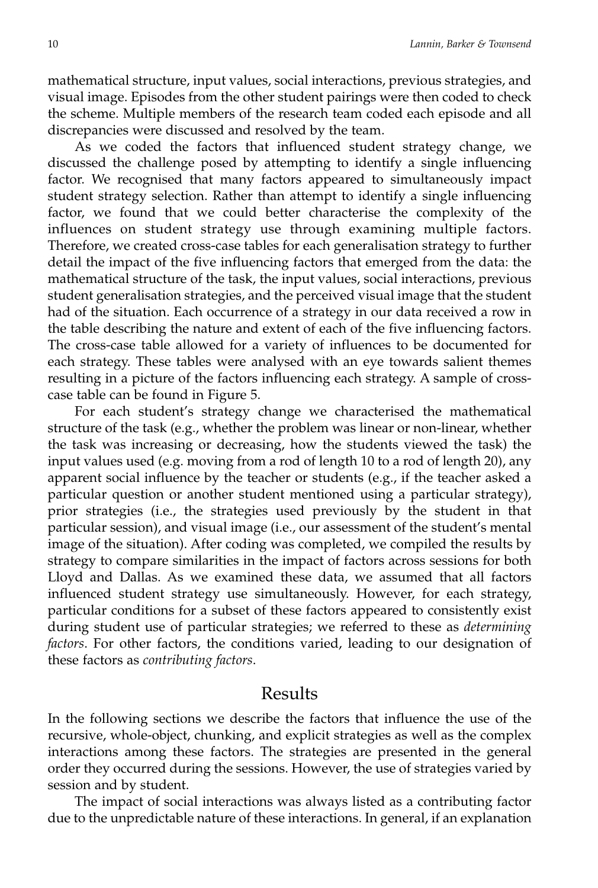mathematical structure, input values, social interactions, previous strategies, and visual image. Episodes from the other student pairings were then coded to check the scheme. Multiple members of the research team coded each episode and all discrepancies were discussed and resolved by the team.

As we coded the factors that influenced student strategy change, we discussed the challenge posed by attempting to identify a single influencing factor. We recognised that many factors appeared to simultaneously impact student strategy selection. Rather than attempt to identify a single influencing factor, we found that we could better characterise the complexity of the influences on student strategy use through examining multiple factors. Therefore, we created cross-case tables for each generalisation strategy to further detail the impact of the five influencing factors that emerged from the data: the mathematical structure of the task, the input values, social interactions, previous student generalisation strategies, and the perceived visual image that the student had of the situation. Each occurrence of a strategy in our data received a row in the table describing the nature and extent of each of the five influencing factors. The cross-case table allowed for a variety of influences to be documented for each strategy. These tables were analysed with an eye towards salient themes resulting in a picture of the factors influencing each strategy. A sample of crosscase table can be found in Figure 5.

For each student's strategy change we characterised the mathematical structure of the task (e.g., whether the problem was linear or non-linear, whether the task was increasing or decreasing, how the students viewed the task) the input values used (e.g. moving from a rod of length 10 to a rod of length 20), any apparent social influence by the teacher or students (e.g., if the teacher asked a particular question or another student mentioned using a particular strategy), prior strategies (i.e., the strategies used previously by the student in that particular session), and visual image (i.e., our assessment of the student's mental image of the situation). After coding was completed, we compiled the results by strategy to compare similarities in the impact of factors across sessions for both Lloyd and Dallas. As we examined these data, we assumed that all factors influenced student strategy use simultaneously. However, for each strategy, particular conditions for a subset of these factors appeared to consistently exist during student use of particular strategies; we referred to these as *determining factors*. For other factors, the conditions varied, leading to our designation of these factors as *contributing factors*.

#### Results

In the following sections we describe the factors that influence the use of the recursive, whole-object, chunking, and explicit strategies as well as the complex interactions among these factors. The strategies are presented in the general order they occurred during the sessions. However, the use of strategies varied by session and by student.

The impact of social interactions was always listed as a contributing factor due to the unpredictable nature of these interactions. In general, if an explanation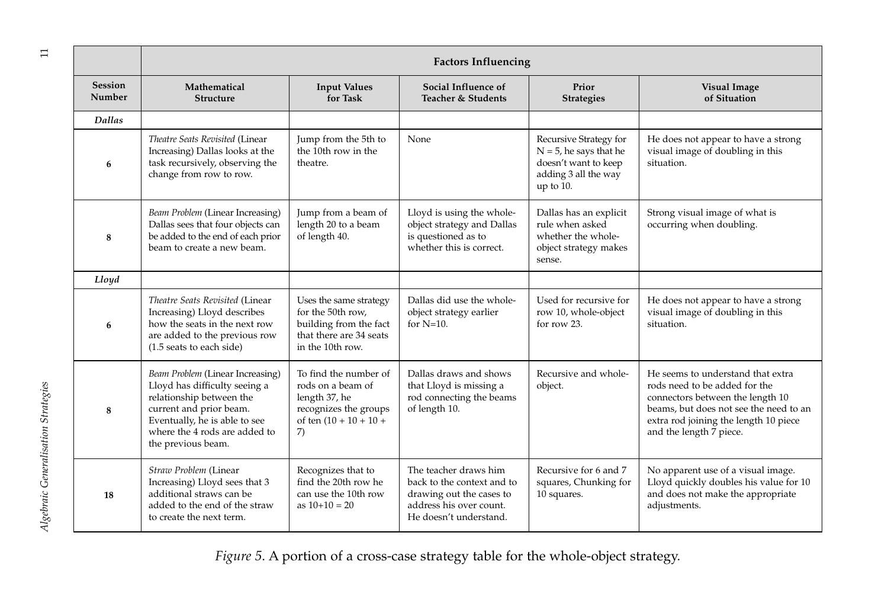| $\Xi$                               |                          | <b>Factors Influencing</b>                                                                                                                                                                                       |                                                                                                                       |                                                                                                                                      |                                                                                                                  |                                                                                                                                                                                                                      |  |  |  |  |  |
|-------------------------------------|--------------------------|------------------------------------------------------------------------------------------------------------------------------------------------------------------------------------------------------------------|-----------------------------------------------------------------------------------------------------------------------|--------------------------------------------------------------------------------------------------------------------------------------|------------------------------------------------------------------------------------------------------------------|----------------------------------------------------------------------------------------------------------------------------------------------------------------------------------------------------------------------|--|--|--|--|--|
|                                     | <b>Session</b><br>Number | Mathematical<br><b>Structure</b>                                                                                                                                                                                 | <b>Input Values</b><br>for Task                                                                                       | Social Influence of<br>Teacher & Students                                                                                            |                                                                                                                  | <b>Visual Image</b><br>of Situation                                                                                                                                                                                  |  |  |  |  |  |
|                                     | Dallas                   |                                                                                                                                                                                                                  |                                                                                                                       |                                                                                                                                      |                                                                                                                  |                                                                                                                                                                                                                      |  |  |  |  |  |
|                                     | 6                        | Theatre Seats Revisited (Linear<br>Increasing) Dallas looks at the<br>task recursively, observing the<br>change from row to row.                                                                                 | Jump from the 5th to<br>the 10th row in the<br>theatre.                                                               | None                                                                                                                                 | Recursive Strategy for<br>$N = 5$ , he says that he<br>doesn't want to keep<br>adding 3 all the way<br>up to 10. | He does not appear to have a strong<br>visual image of doubling in this<br>situation.                                                                                                                                |  |  |  |  |  |
|                                     | 8                        | Beam Problem (Linear Increasing)<br>Dallas sees that four objects can<br>be added to the end of each prior<br>beam to create a new beam.                                                                         | Jump from a beam of<br>length 20 to a beam<br>of length 40.                                                           | Lloyd is using the whole-<br>object strategy and Dallas<br>is questioned as to<br>whether this is correct.                           | Dallas has an explicit<br>rule when asked<br>whether the whole-<br>object strategy makes<br>sense.               | Strong visual image of what is<br>occurring when doubling.                                                                                                                                                           |  |  |  |  |  |
|                                     | Lloyd                    |                                                                                                                                                                                                                  |                                                                                                                       |                                                                                                                                      |                                                                                                                  |                                                                                                                                                                                                                      |  |  |  |  |  |
| Algebraic Generalisation Strategies | 6                        | Theatre Seats Revisited (Linear<br>Increasing) Lloyd describes<br>how the seats in the next row<br>are added to the previous row<br>(1.5 seats to each side)                                                     | Uses the same strategy<br>for the 50th row,<br>building from the fact<br>that there are 34 seats<br>in the 10th row.  | Dallas did use the whole-<br>object strategy earlier<br>for $N=10$ .                                                                 | Used for recursive for<br>row 10, whole-object<br>for row 23.                                                    | He does not appear to have a strong<br>visual image of doubling in this<br>situation.                                                                                                                                |  |  |  |  |  |
|                                     | 8                        | Beam Problem (Linear Increasing)<br>Lloyd has difficulty seeing a<br>relationship between the<br>current and prior beam.<br>Eventually, he is able to see<br>where the 4 rods are added to<br>the previous beam. | To find the number of<br>rods on a beam of<br>length 37, he<br>recognizes the groups<br>of ten $(10 + 10 + 10)$<br>7) | Dallas draws and shows<br>that Lloyd is missing a<br>rod connecting the beams<br>of length 10.                                       | Recursive and whole-<br>object.                                                                                  | He seems to understand that extra<br>rods need to be added for the<br>connectors between the length 10<br>beams, but does not see the need to an<br>extra rod joining the length 10 piece<br>and the length 7 piece. |  |  |  |  |  |
|                                     | 18                       | Straw Problem (Linear<br>Increasing) Lloyd sees that 3<br>additional straws can be<br>added to the end of the straw<br>to create the next term.                                                                  | Recognizes that to<br>find the 20th row he<br>can use the 10th row<br>as $10+10=20$                                   | The teacher draws him<br>back to the context and to<br>drawing out the cases to<br>address his over count.<br>He doesn't understand. | Recursive for 6 and 7<br>squares, Chunking for<br>10 squares.                                                    | No apparent use of a visual image.<br>Lloyd quickly doubles his value for 10<br>and does not make the appropriate<br>adjustments.                                                                                    |  |  |  |  |  |

*Figure 5*. A portion of a cross-case strategy table for the whole-object strategy.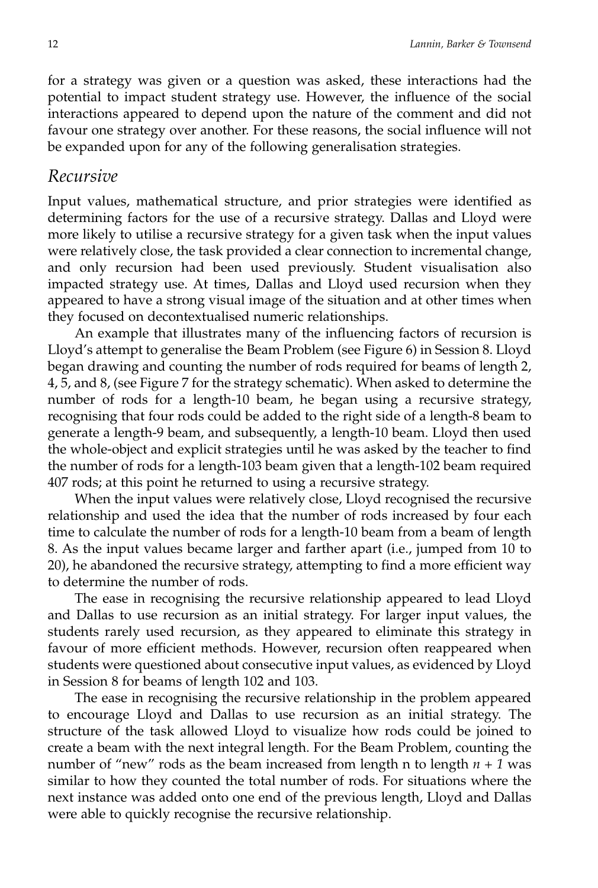for a strategy was given or a question was asked, these interactions had the potential to impact student strategy use. However, the influence of the social interactions appeared to depend upon the nature of the comment and did not favour one strategy over another. For these reasons, the social influence will not be expanded upon for any of the following generalisation strategies.

#### *Recursive*

Input values, mathematical structure, and prior strategies were identified as determining factors for the use of a recursive strategy. Dallas and Lloyd were more likely to utilise a recursive strategy for a given task when the input values were relatively close, the task provided a clear connection to incremental change, and only recursion had been used previously. Student visualisation also impacted strategy use. At times, Dallas and Lloyd used recursion when they appeared to have a strong visual image of the situation and at other times when they focused on decontextualised numeric relationships.

An example that illustrates many of the influencing factors of recursion is Lloyd's attempt to generalise the Beam Problem (see Figure 6) in Session 8. Lloyd began drawing and counting the number of rods required for beams of length 2, 4, 5, and 8, (see Figure 7 for the strategy schematic). When asked to determine the number of rods for a length-10 beam, he began using a recursive strategy, recognising that four rods could be added to the right side of a length-8 beam to generate a length-9 beam, and subsequently, a length-10 beam. Lloyd then used the whole-object and explicit strategies until he was asked by the teacher to find the number of rods for a length-103 beam given that a length-102 beam required 407 rods; at this point he returned to using a recursive strategy.

When the input values were relatively close, Lloyd recognised the recursive relationship and used the idea that the number of rods increased by four each time to calculate the number of rods for a length-10 beam from a beam of length 8. As the input values became larger and farther apart (i.e., jumped from 10 to 20), he abandoned the recursive strategy, attempting to find a more efficient way to determine the number of rods.

The ease in recognising the recursive relationship appeared to lead Lloyd and Dallas to use recursion as an initial strategy. For larger input values, the students rarely used recursion, as they appeared to eliminate this strategy in favour of more efficient methods. However, recursion often reappeared when students were questioned about consecutive input values, as evidenced by Lloyd in Session 8 for beams of length 102 and 103.

The ease in recognising the recursive relationship in the problem appeared to encourage Lloyd and Dallas to use recursion as an initial strategy. The structure of the task allowed Lloyd to visualize how rods could be joined to create a beam with the next integral length. For the Beam Problem, counting the number of "new" rods as the beam increased from length n to length *n* + *1* was similar to how they counted the total number of rods. For situations where the next instance was added onto one end of the previous length, Lloyd and Dallas were able to quickly recognise the recursive relationship.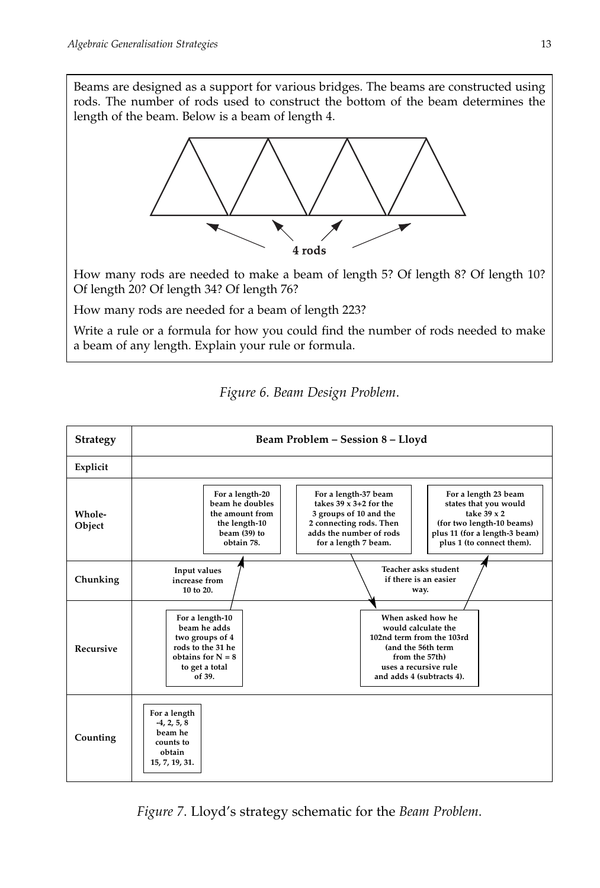Beams are designed as a support for various bridges. The beams are constructed using rods. The number of rods used to construct the bottom of the beam determines the length of the beam. Below is a beam of length 4.



How many rods are needed to make a beam of length 5? Of length 8? Of length 10? Of length 20? Of length 34? Of length 76?

How many rods are needed for a beam of length 223?

Write a rule or a formula for how you could find the number of rods needed to make a beam of any length. Explain your rule or formula.

**Strategy Beam Problem – Session 8 – Lloyd Explicit Whole-Object Chunking Recursive Counting For a length-10 beam he adds two groups of 4 rods to the 31 he obtains for N = 8 to get a total of 39. For a length -4, 2, 5, 8 beam he counts to obtain 15, 7, 19, 31. Input values increase from 10 to 20. Teacher asks student if there is an easier way. For a length 23 beam states that you would take 39 x 2 (for two length-10 beams) plus 11 (for a length-3 beam) plus 1 (to connect them). For a length-37 beam takes 39 x 3+2 for the 3 groups of 10 and the 2 connecting rods. Then adds the number of rods for a length 7 beam. For a length-20 beam he doubles the amount from the length-10 beam (39) to obtain 78. When asked how he would calculate the 102nd term from the 103rd (and the 56th term from the 57th) uses a recursive rule and adds 4 (subtracts 4).**

*Figure 6. Beam Design Problem*.

*Figure 7*. Lloyd's strategy schematic for the *Beam Problem*.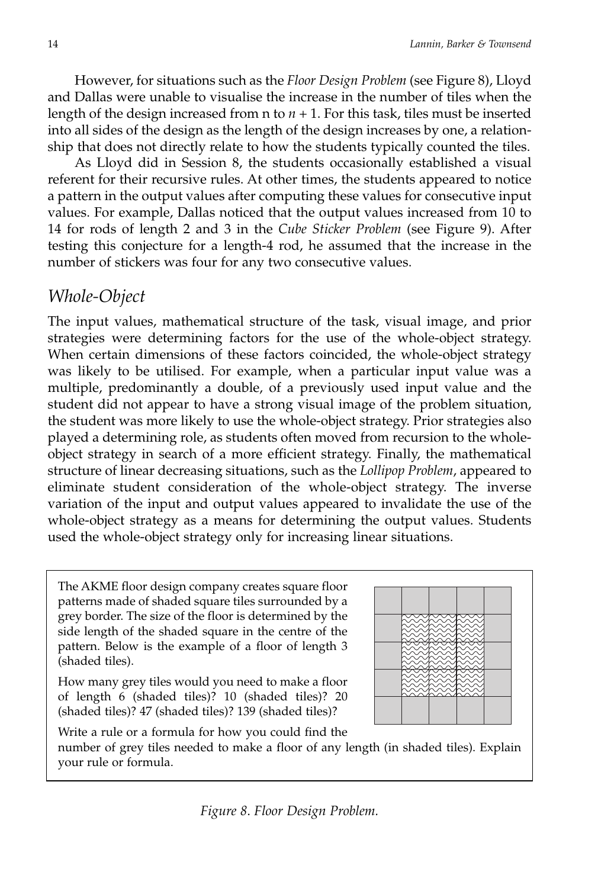However, for situations such as the *Floor Design Problem* (see Figure 8), Lloyd and Dallas were unable to visualise the increase in the number of tiles when the length of the design increased from  $n \times n + 1$ . For this task, tiles must be inserted into all sides of the design as the length of the design increases by one, a relationship that does not directly relate to how the students typically counted the tiles.

As Lloyd did in Session 8, the students occasionally established a visual referent for their recursive rules. At other times, the students appeared to notice a pattern in the output values after computing these values for consecutive input values. For example, Dallas noticed that the output values increased from 10 to 14 for rods of length 2 and 3 in the *Cube Sticker Problem* (see Figure 9). After testing this conjecture for a length-4 rod, he assumed that the increase in the number of stickers was four for any two consecutive values.

### *Whole-Object*

The input values, mathematical structure of the task, visual image, and prior strategies were determining factors for the use of the whole-object strategy. When certain dimensions of these factors coincided, the whole-object strategy was likely to be utilised. For example, when a particular input value was a multiple, predominantly a double, of a previously used input value and the student did not appear to have a strong visual image of the problem situation, the student was more likely to use the whole-object strategy. Prior strategies also played a determining role, as students often moved from recursion to the wholeobject strategy in search of a more efficient strategy. Finally, the mathematical structure of linear decreasing situations, such as the *Lollipop Problem*, appeared to eliminate student consideration of the whole-object strategy. The inverse variation of the input and output values appeared to invalidate the use of the whole-object strategy as a means for determining the output values. Students used the whole-object strategy only for increasing linear situations.

The AKME floor design company creates square floor patterns made of shaded square tiles surrounded by a grey border. The size of the floor is determined by the side length of the shaded square in the centre of the pattern. Below is the example of a floor of length 3 (shaded tiles).

How many grey tiles would you need to make a floor of length 6 (shaded tiles)? 10 (shaded tiles)? 20 (shaded tiles)? 47 (shaded tiles)? 139 (shaded tiles)?



Write a rule or a formula for how you could find the

number of grey tiles needed to make a floor of any length (in shaded tiles). Explain your rule or formula.

*Figure 8*. *Floor Design Problem.*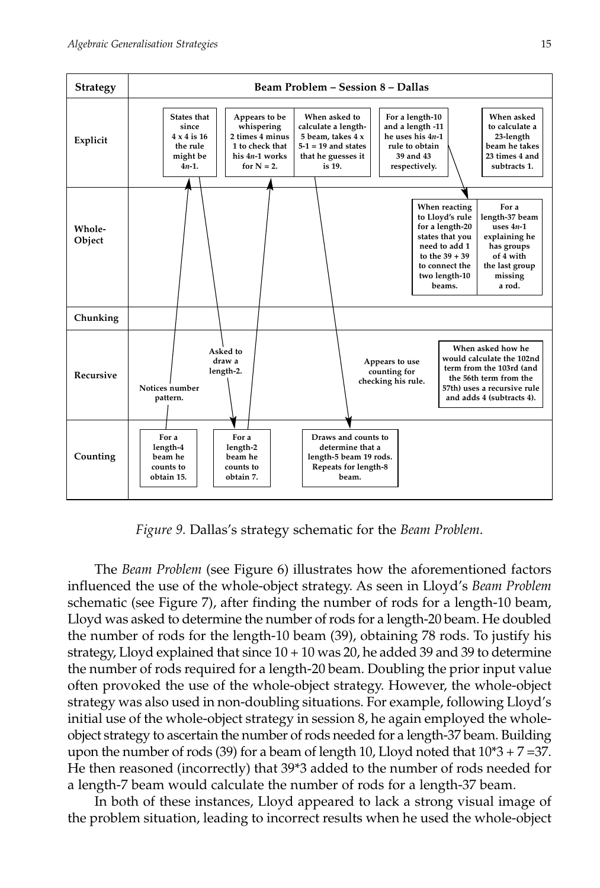

*Figure 9.* Dallas's strategy schematic for the *Beam Problem*.

The *Beam Problem* (see Figure 6) illustrates how the aforementioned factors influenced the use of the whole-object strategy. As seen in Lloyd's *Beam Problem* schematic (see Figure 7), after finding the number of rods for a length-10 beam, Lloyd was asked to determine the number of rods for a length-20 beam. He doubled the number of rods for the length-10 beam (39), obtaining 78 rods. To justify his strategy, Lloyd explained that since  $10 + 10$  was 20, he added 39 and 39 to determine the number of rods required for a length-20 beam. Doubling the prior input value often provoked the use of the whole-object strategy. However, the whole-object strategy was also used in non-doubling situations. For example, following Lloyd's initial use of the whole-object strategy in session 8, he again employed the wholeobject strategy to ascertain the number of rods needed for a length-37 beam. Building upon the number of rods (39) for a beam of length 10, Lloyd noted that  $10*3 + 7 = 37$ . He then reasoned (incorrectly) that 39\*3 added to the number of rods needed for a length-7 beam would calculate the number of rods for a length-37 beam.

In both of these instances, Lloyd appeared to lack a strong visual image of the problem situation, leading to incorrect results when he used the whole-object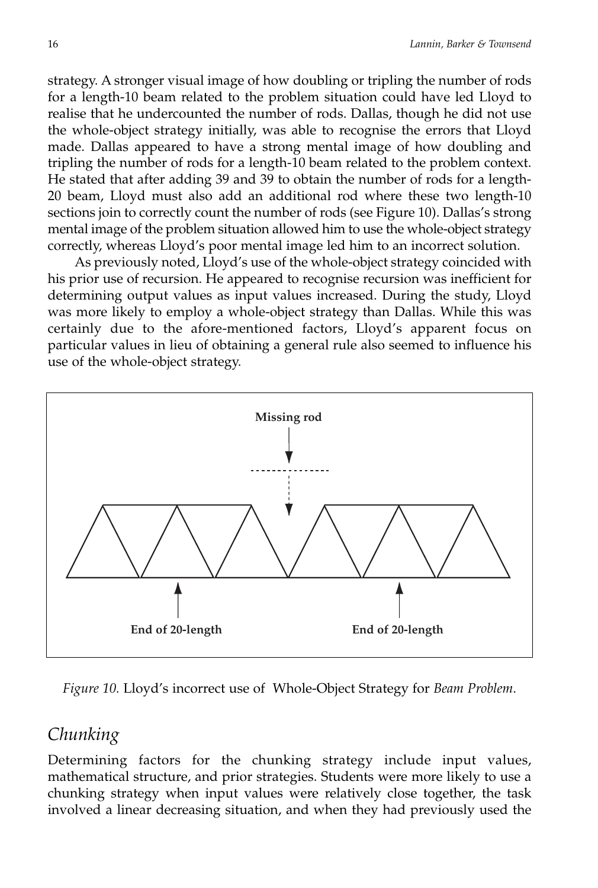strategy. A stronger visual image of how doubling or tripling the number of rods for a length-10 beam related to the problem situation could have led Lloyd to realise that he undercounted the number of rods. Dallas, though he did not use the whole-object strategy initially, was able to recognise the errors that Lloyd made. Dallas appeared to have a strong mental image of how doubling and tripling the number of rods for a length-10 beam related to the problem context. He stated that after adding 39 and 39 to obtain the number of rods for a length-20 beam, Lloyd must also add an additional rod where these two length-10 sections join to correctly count the number of rods (see Figure 10). Dallas's strong mental image of the problem situation allowed him to use the whole-object strategy correctly, whereas Lloyd's poor mental image led him to an incorrect solution.

As previously noted, Lloyd's use of the whole-object strategy coincided with his prior use of recursion. He appeared to recognise recursion was inefficient for determining output values as input values increased. During the study, Lloyd was more likely to employ a whole-object strategy than Dallas. While this was certainly due to the afore-mentioned factors, Lloyd's apparent focus on particular values in lieu of obtaining a general rule also seemed to influence his use of the whole-object strategy.



*Figure 10.* Lloyd's incorrect use of Whole-Object Strategy for *Beam Problem*.

## *Chunking*

Determining factors for the chunking strategy include input values, mathematical structure, and prior strategies. Students were more likely to use a chunking strategy when input values were relatively close together, the task involved a linear decreasing situation, and when they had previously used the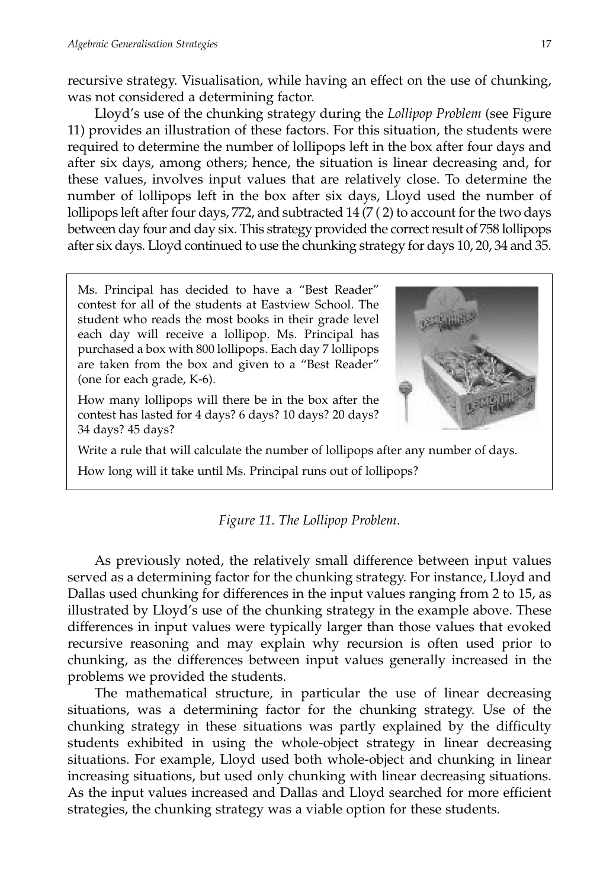recursive strategy. Visualisation, while having an effect on the use of chunking, was not considered a determining factor.

Lloyd's use of the chunking strategy during the *Lollipop Problem* (see Figure 11) provides an illustration of these factors. For this situation, the students were required to determine the number of lollipops left in the box after four days and after six days, among others; hence, the situation is linear decreasing and, for these values, involves input values that are relatively close. To determine the number of lollipops left in the box after six days, Lloyd used the number of lollipops left after four days, 772, and subtracted 14 (7 ( 2) to account for the two days between day four and day six. This strategy provided the correct result of 758 lollipops after six days. Lloyd continued to use the chunking strategy for days 10, 20, 34 and 35.

Ms. Principal has decided to have a "Best Reader" contest for all of the students at Eastview School. The student who reads the most books in their grade level each day will receive a lollipop. Ms. Principal has purchased a box with 800 lollipops. Each day 7 lollipops are taken from the box and given to a "Best Reader" (one for each grade, K-6).

How many lollipops will there be in the box after the contest has lasted for 4 days? 6 days? 10 days? 20 days? 34 days? 45 days?

Write a rule that will calculate the number of lollipops after any number of days.

How long will it take until Ms. Principal runs out of lollipops?

#### *Figure 11. The Lollipop Problem*.

As previously noted, the relatively small difference between input values served as a determining factor for the chunking strategy. For instance, Lloyd and Dallas used chunking for differences in the input values ranging from 2 to 15, as illustrated by Lloyd's use of the chunking strategy in the example above. These differences in input values were typically larger than those values that evoked recursive reasoning and may explain why recursion is often used prior to chunking, as the differences between input values generally increased in the problems we provided the students.

The mathematical structure, in particular the use of linear decreasing situations, was a determining factor for the chunking strategy. Use of the chunking strategy in these situations was partly explained by the difficulty students exhibited in using the whole-object strategy in linear decreasing situations. For example, Lloyd used both whole-object and chunking in linear increasing situations, but used only chunking with linear decreasing situations. As the input values increased and Dallas and Lloyd searched for more efficient strategies, the chunking strategy was a viable option for these students.

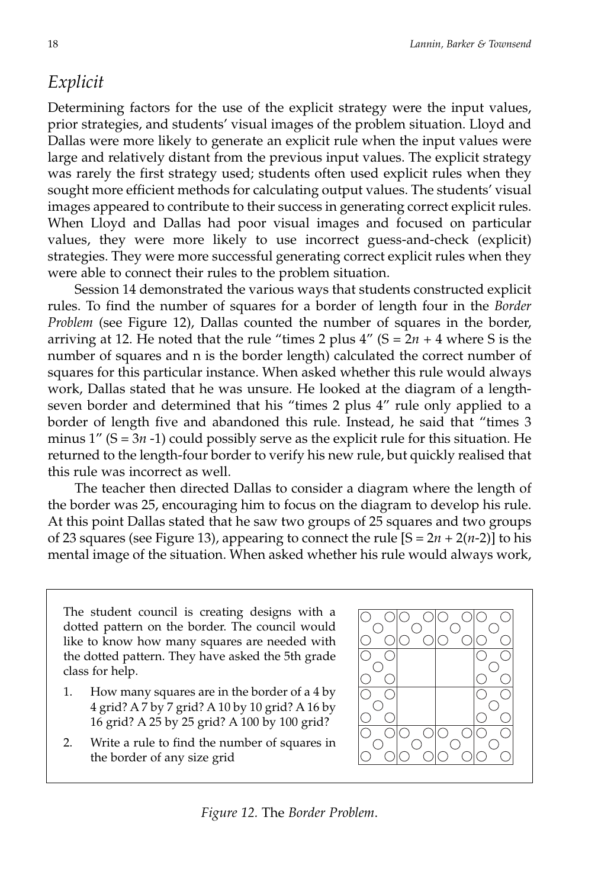### *Explicit*

Determining factors for the use of the explicit strategy were the input values, prior strategies, and students' visual images of the problem situation. Lloyd and Dallas were more likely to generate an explicit rule when the input values were large and relatively distant from the previous input values. The explicit strategy was rarely the first strategy used; students often used explicit rules when they sought more efficient methods for calculating output values. The students' visual images appeared to contribute to their success in generating correct explicit rules. When Lloyd and Dallas had poor visual images and focused on particular values, they were more likely to use incorrect guess-and-check (explicit) strategies. They were more successful generating correct explicit rules when they were able to connect their rules to the problem situation.

Session 14 demonstrated the various ways that students constructed explicit rules. To find the number of squares for a border of length four in the *Border Problem* (see Figure 12), Dallas counted the number of squares in the border, arriving at 12. He noted that the rule "times 2 plus  $4''$  (S =  $2n + 4$  where S is the number of squares and n is the border length) calculated the correct number of squares for this particular instance. When asked whether this rule would always work, Dallas stated that he was unsure. He looked at the diagram of a lengthseven border and determined that his "times 2 plus 4" rule only applied to a border of length five and abandoned this rule. Instead, he said that "times 3 minus  $1''$  (S =  $3n$  -1) could possibly serve as the explicit rule for this situation. He returned to the length-four border to verify his new rule, but quickly realised that this rule was incorrect as well.

The teacher then directed Dallas to consider a diagram where the length of the border was 25, encouraging him to focus on the diagram to develop his rule. At this point Dallas stated that he saw two groups of 25 squares and two groups of 23 squares (see Figure 13), appearing to connect the rule  $[S = 2n + 2(n-2)]$  to his mental image of the situation. When asked whether his rule would always work,

The student council is creating designs with a dotted pattern on the border. The council would like to know how many squares are needed with the dotted pattern. They have asked the 5th grade class for help.

- 1. How many squares are in the border of a 4 by 4 grid? A 7 by 7 grid? A 10 by 10 grid? A 16 by 16 grid? A 25 by 25 grid? A 100 by 100 grid?
- 2. Write a rule to find the number of squares in the border of any size grid



*Figure 12.* The *Border Problem*.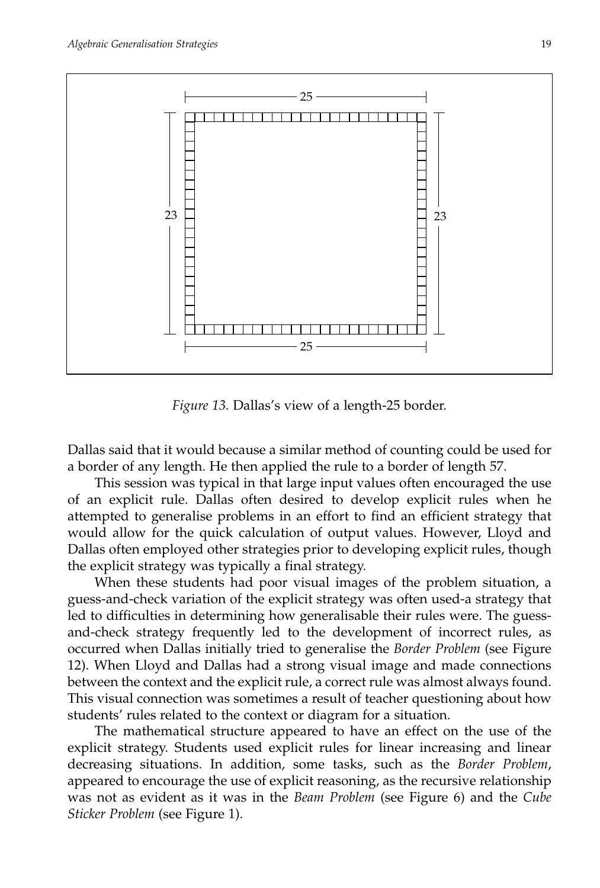

*Figure 13.* Dallas's view of a length-25 border.

Dallas said that it would because a similar method of counting could be used for a border of any length. He then applied the rule to a border of length 57.

This session was typical in that large input values often encouraged the use of an explicit rule. Dallas often desired to develop explicit rules when he attempted to generalise problems in an effort to find an efficient strategy that would allow for the quick calculation of output values. However, Lloyd and Dallas often employed other strategies prior to developing explicit rules, though the explicit strategy was typically a final strategy.

When these students had poor visual images of the problem situation, a guess-and-check variation of the explicit strategy was often used-a strategy that led to difficulties in determining how generalisable their rules were. The guessand-check strategy frequently led to the development of incorrect rules, as occurred when Dallas initially tried to generalise the *Border Problem* (see Figure 12). When Lloyd and Dallas had a strong visual image and made connections between the context and the explicit rule, a correct rule was almost always found. This visual connection was sometimes a result of teacher questioning about how students' rules related to the context or diagram for a situation.

The mathematical structure appeared to have an effect on the use of the explicit strategy. Students used explicit rules for linear increasing and linear decreasing situations. In addition, some tasks, such as the *Border Problem*, appeared to encourage the use of explicit reasoning, as the recursive relationship was not as evident as it was in the *Beam Problem* (see Figure 6) and the *Cube Sticker Problem* (see Figure 1).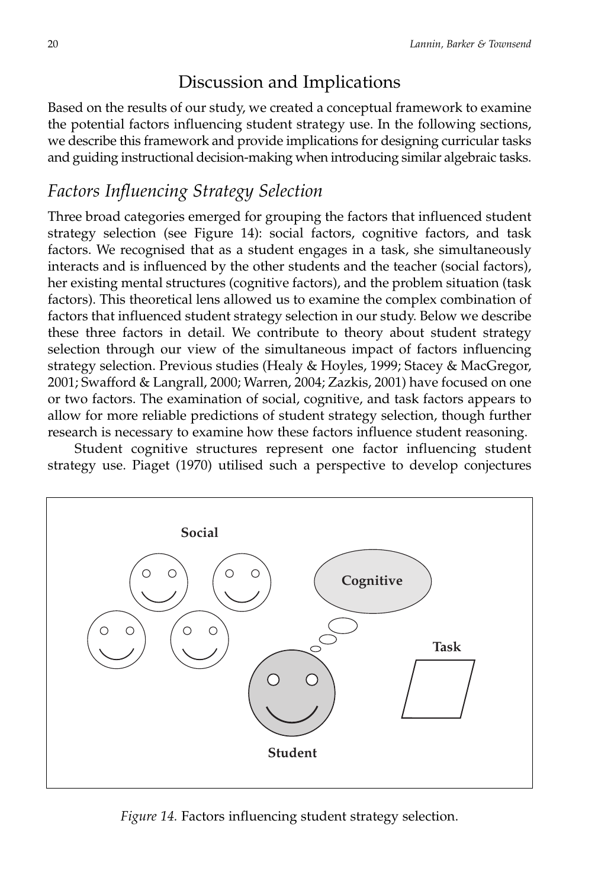### Discussion and Implications

Based on the results of our study, we created a conceptual framework to examine the potential factors influencing student strategy use. In the following sections, we describe this framework and provide implications for designing curricular tasks and guiding instructional decision-making when introducing similar algebraic tasks.

### *Factors Influencing Strategy Selection*

Three broad categories emerged for grouping the factors that influenced student strategy selection (see Figure 14): social factors, cognitive factors, and task factors. We recognised that as a student engages in a task, she simultaneously interacts and is influenced by the other students and the teacher (social factors), her existing mental structures (cognitive factors), and the problem situation (task factors). This theoretical lens allowed us to examine the complex combination of factors that influenced student strategy selection in our study. Below we describe these three factors in detail. We contribute to theory about student strategy selection through our view of the simultaneous impact of factors influencing strategy selection. Previous studies (Healy & Hoyles, 1999; Stacey & MacGregor, 2001; Swafford & Langrall, 2000; Warren, 2004; Zazkis, 2001) have focused on one or two factors. The examination of social, cognitive, and task factors appears to allow for more reliable predictions of student strategy selection, though further research is necessary to examine how these factors influence student reasoning.

Student cognitive structures represent one factor influencing student strategy use. Piaget (1970) utilised such a perspective to develop conjectures



*Figure 14.* Factors influencing student strategy selection.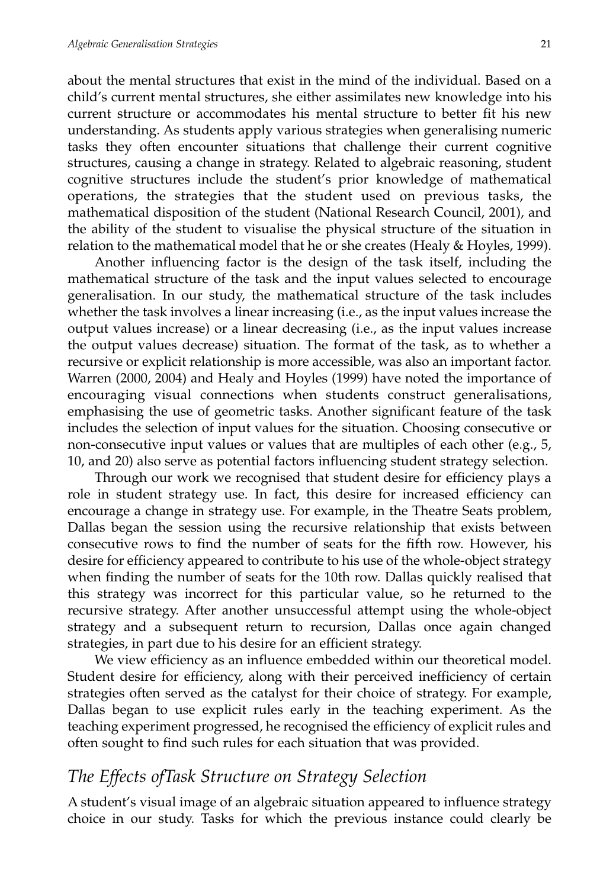about the mental structures that exist in the mind of the individual. Based on a child's current mental structures, she either assimilates new knowledge into his current structure or accommodates his mental structure to better fit his new understanding. As students apply various strategies when generalising numeric tasks they often encounter situations that challenge their current cognitive structures, causing a change in strategy. Related to algebraic reasoning, student cognitive structures include the student's prior knowledge of mathematical operations, the strategies that the student used on previous tasks, the mathematical disposition of the student (National Research Council, 2001), and the ability of the student to visualise the physical structure of the situation in relation to the mathematical model that he or she creates (Healy & Hoyles, 1999).

Another influencing factor is the design of the task itself, including the mathematical structure of the task and the input values selected to encourage generalisation. In our study, the mathematical structure of the task includes whether the task involves a linear increasing (i.e., as the input values increase the output values increase) or a linear decreasing (i.e., as the input values increase the output values decrease) situation. The format of the task, as to whether a recursive or explicit relationship is more accessible, was also an important factor. Warren (2000, 2004) and Healy and Hoyles (1999) have noted the importance of encouraging visual connections when students construct generalisations, emphasising the use of geometric tasks. Another significant feature of the task includes the selection of input values for the situation. Choosing consecutive or non-consecutive input values or values that are multiples of each other (e.g., 5, 10, and 20) also serve as potential factors influencing student strategy selection.

Through our work we recognised that student desire for efficiency plays a role in student strategy use. In fact, this desire for increased efficiency can encourage a change in strategy use. For example, in the Theatre Seats problem, Dallas began the session using the recursive relationship that exists between consecutive rows to find the number of seats for the fifth row. However, his desire for efficiency appeared to contribute to his use of the whole-object strategy when finding the number of seats for the 10th row. Dallas quickly realised that this strategy was incorrect for this particular value, so he returned to the recursive strategy. After another unsuccessful attempt using the whole-object strategy and a subsequent return to recursion, Dallas once again changed strategies, in part due to his desire for an efficient strategy.

We view efficiency as an influence embedded within our theoretical model. Student desire for efficiency, along with their perceived inefficiency of certain strategies often served as the catalyst for their choice of strategy. For example, Dallas began to use explicit rules early in the teaching experiment. As the teaching experiment progressed, he recognised the efficiency of explicit rules and often sought to find such rules for each situation that was provided.

### *The Effects ofTask Structure on Strategy Selection*

A student's visual image of an algebraic situation appeared to influence strategy choice in our study. Tasks for which the previous instance could clearly be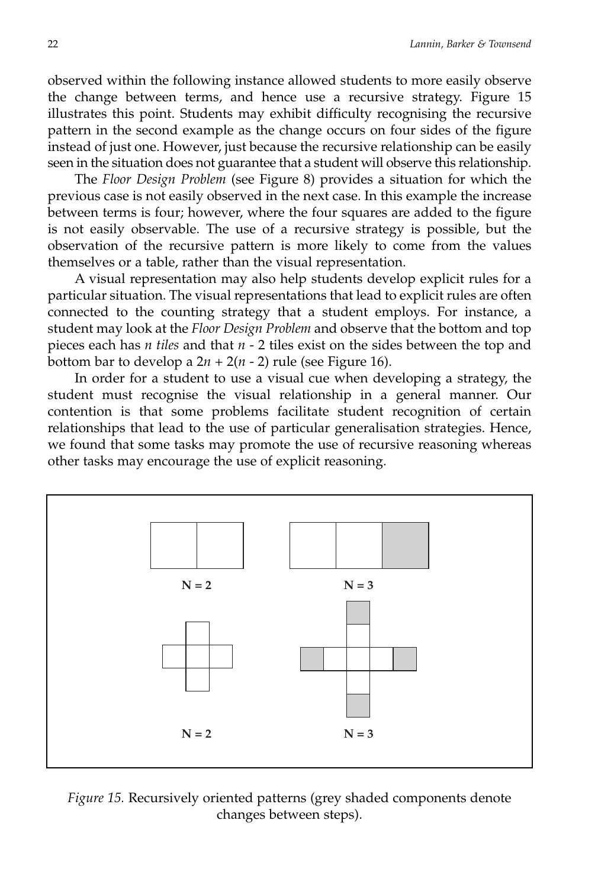observed within the following instance allowed students to more easily observe the change between terms, and hence use a recursive strategy. Figure 15 illustrates this point. Students may exhibit difficulty recognising the recursive pattern in the second example as the change occurs on four sides of the figure instead of just one. However, just because the recursive relationship can be easily seen in the situation does not guarantee that a student will observe this relationship.

The *Floor Design Problem* (see Figure 8) provides a situation for which the previous case is not easily observed in the next case. In this example the increase between terms is four; however, where the four squares are added to the figure is not easily observable. The use of a recursive strategy is possible, but the observation of the recursive pattern is more likely to come from the values themselves or a table, rather than the visual representation.

A visual representation may also help students develop explicit rules for a particular situation. The visual representations that lead to explicit rules are often connected to the counting strategy that a student employs. For instance, a student may look at the *Floor Design Problem* and observe that the bottom and top pieces each has *n tiles* and that *n* - 2 tiles exist on the sides between the top and bottom bar to develop a  $2n + 2(n - 2)$  rule (see Figure 16).

In order for a student to use a visual cue when developing a strategy, the student must recognise the visual relationship in a general manner. Our contention is that some problems facilitate student recognition of certain relationships that lead to the use of particular generalisation strategies. Hence, we found that some tasks may promote the use of recursive reasoning whereas other tasks may encourage the use of explicit reasoning.



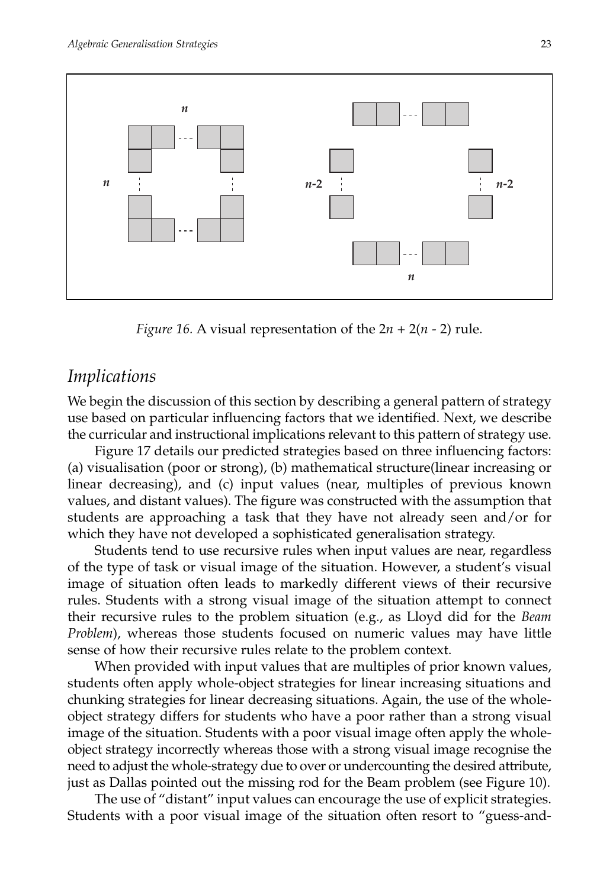

*Figure 16.* A visual representation of the  $2n + 2(n - 2)$  rule.

### *Implications*

We begin the discussion of this section by describing a general pattern of strategy use based on particular influencing factors that we identified. Next, we describe the curricular and instructional implications relevant to this pattern of strategy use.

Figure 17 details our predicted strategies based on three influencing factors: (a) visualisation (poor or strong), (b) mathematical structure(linear increasing or linear decreasing), and (c) input values (near, multiples of previous known values, and distant values). The figure was constructed with the assumption that students are approaching a task that they have not already seen and/or for which they have not developed a sophisticated generalisation strategy.

Students tend to use recursive rules when input values are near, regardless of the type of task or visual image of the situation. However, a student's visual image of situation often leads to markedly different views of their recursive rules. Students with a strong visual image of the situation attempt to connect their recursive rules to the problem situation (e.g., as Lloyd did for the *Beam Problem*), whereas those students focused on numeric values may have little sense of how their recursive rules relate to the problem context.

When provided with input values that are multiples of prior known values, students often apply whole-object strategies for linear increasing situations and chunking strategies for linear decreasing situations. Again, the use of the wholeobject strategy differs for students who have a poor rather than a strong visual image of the situation. Students with a poor visual image often apply the wholeobject strategy incorrectly whereas those with a strong visual image recognise the need to adjust the whole-strategy due to over or undercounting the desired attribute, just as Dallas pointed out the missing rod for the Beam problem (see Figure 10).

The use of "distant" input values can encourage the use of explicit strategies. Students with a poor visual image of the situation often resort to "guess-and-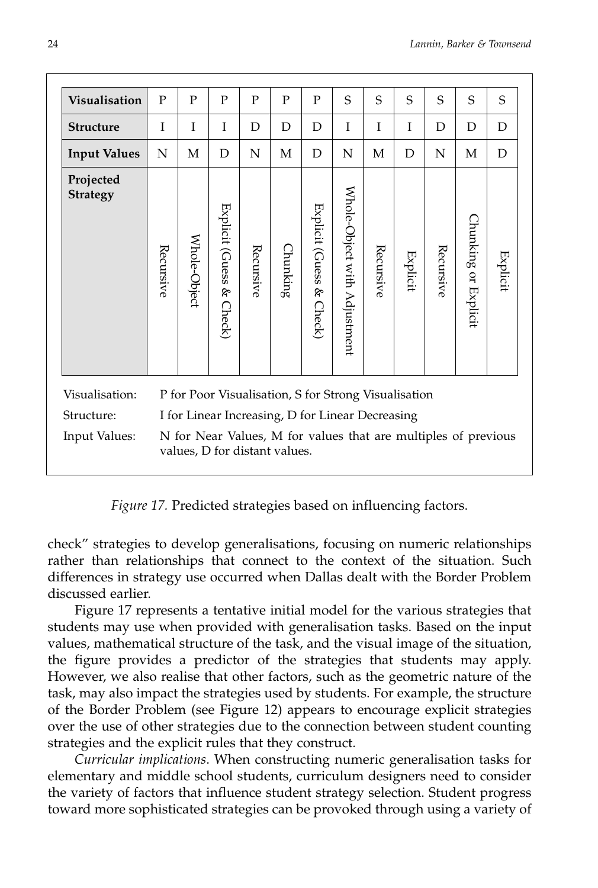| <b>Visualisation</b>         | P                                                                                               | P                                                | P                        | P         | $\mathbf{P}$ | P                        | S                            | S         | S               | S         | S                    | S               |
|------------------------------|-------------------------------------------------------------------------------------------------|--------------------------------------------------|--------------------------|-----------|--------------|--------------------------|------------------------------|-----------|-----------------|-----------|----------------------|-----------------|
| <b>Structure</b>             | T                                                                                               | Ι                                                | T                        | D         | D            | D                        | T                            | Ī         | I               | D         | D                    | D               |
| <b>Input Values</b>          | N                                                                                               | М                                                | D                        | N         | М            | D                        | N                            | M         | D               | N         | М                    | D               |
| Projected<br><b>Strategy</b> | Recursive                                                                                       | Whole-Object                                     | Explicit (Guess & Check) | Recursive | Chunking     | Explicit (Guess & Check) | Whole-Object with Adjustment | Recursive | <b>Explicit</b> | Recursive | Chunking or Explicit | <b>Explicit</b> |
| Visualisation:               | P for Poor Visualisation, S for Strong Visualisation                                            |                                                  |                          |           |              |                          |                              |           |                 |           |                      |                 |
| Structure:                   |                                                                                                 | I for Linear Increasing, D for Linear Decreasing |                          |           |              |                          |                              |           |                 |           |                      |                 |
| Input Values:                | N for Near Values, M for values that are multiples of previous<br>values, D for distant values. |                                                  |                          |           |              |                          |                              |           |                 |           |                      |                 |

*Figure 17.* Predicted strategies based on influencing factors.

check" strategies to develop generalisations, focusing on numeric relationships rather than relationships that connect to the context of the situation. Such differences in strategy use occurred when Dallas dealt with the Border Problem discussed earlier.

Figure 17 represents a tentative initial model for the various strategies that students may use when provided with generalisation tasks. Based on the input values, mathematical structure of the task, and the visual image of the situation, the figure provides a predictor of the strategies that students may apply. However, we also realise that other factors, such as the geometric nature of the task, may also impact the strategies used by students. For example, the structure of the Border Problem (see Figure 12) appears to encourage explicit strategies over the use of other strategies due to the connection between student counting strategies and the explicit rules that they construct.

*Curricular implications*. When constructing numeric generalisation tasks for elementary and middle school students, curriculum designers need to consider the variety of factors that influence student strategy selection. Student progress toward more sophisticated strategies can be provoked through using a variety of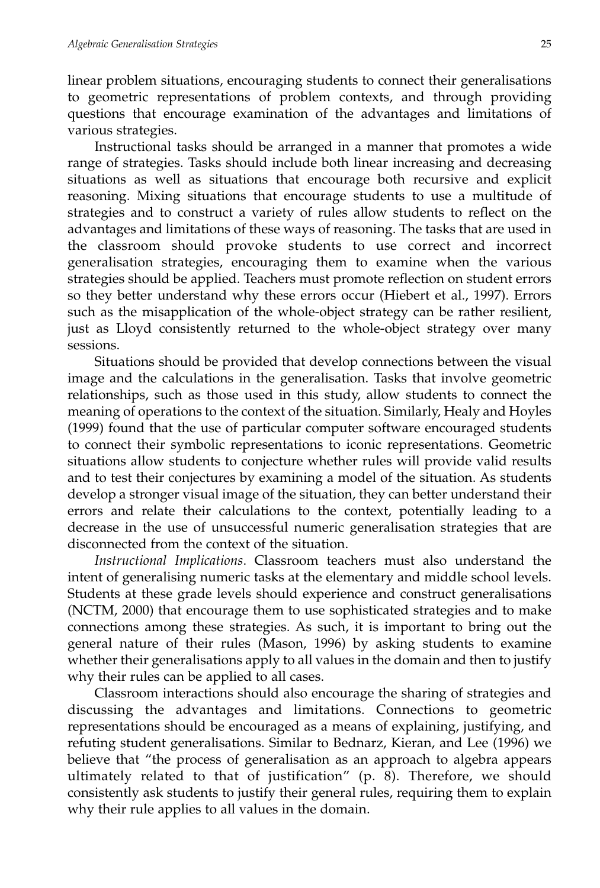linear problem situations, encouraging students to connect their generalisations to geometric representations of problem contexts, and through providing questions that encourage examination of the advantages and limitations of various strategies.

Instructional tasks should be arranged in a manner that promotes a wide range of strategies. Tasks should include both linear increasing and decreasing situations as well as situations that encourage both recursive and explicit reasoning. Mixing situations that encourage students to use a multitude of strategies and to construct a variety of rules allow students to reflect on the advantages and limitations of these ways of reasoning. The tasks that are used in the classroom should provoke students to use correct and incorrect generalisation strategies, encouraging them to examine when the various strategies should be applied. Teachers must promote reflection on student errors so they better understand why these errors occur (Hiebert et al., 1997). Errors such as the misapplication of the whole-object strategy can be rather resilient, just as Lloyd consistently returned to the whole-object strategy over many sessions.

Situations should be provided that develop connections between the visual image and the calculations in the generalisation. Tasks that involve geometric relationships, such as those used in this study, allow students to connect the meaning of operations to the context of the situation. Similarly, Healy and Hoyles (1999) found that the use of particular computer software encouraged students to connect their symbolic representations to iconic representations. Geometric situations allow students to conjecture whether rules will provide valid results and to test their conjectures by examining a model of the situation. As students develop a stronger visual image of the situation, they can better understand their errors and relate their calculations to the context, potentially leading to a decrease in the use of unsuccessful numeric generalisation strategies that are disconnected from the context of the situation.

*Instructional Implications*. Classroom teachers must also understand the intent of generalising numeric tasks at the elementary and middle school levels. Students at these grade levels should experience and construct generalisations (NCTM, 2000) that encourage them to use sophisticated strategies and to make connections among these strategies. As such, it is important to bring out the general nature of their rules (Mason, 1996) by asking students to examine whether their generalisations apply to all values in the domain and then to justify why their rules can be applied to all cases.

Classroom interactions should also encourage the sharing of strategies and discussing the advantages and limitations. Connections to geometric representations should be encouraged as a means of explaining, justifying, and refuting student generalisations. Similar to Bednarz, Kieran, and Lee (1996) we believe that "the process of generalisation as an approach to algebra appears ultimately related to that of justification" (p. 8). Therefore, we should consistently ask students to justify their general rules, requiring them to explain why their rule applies to all values in the domain.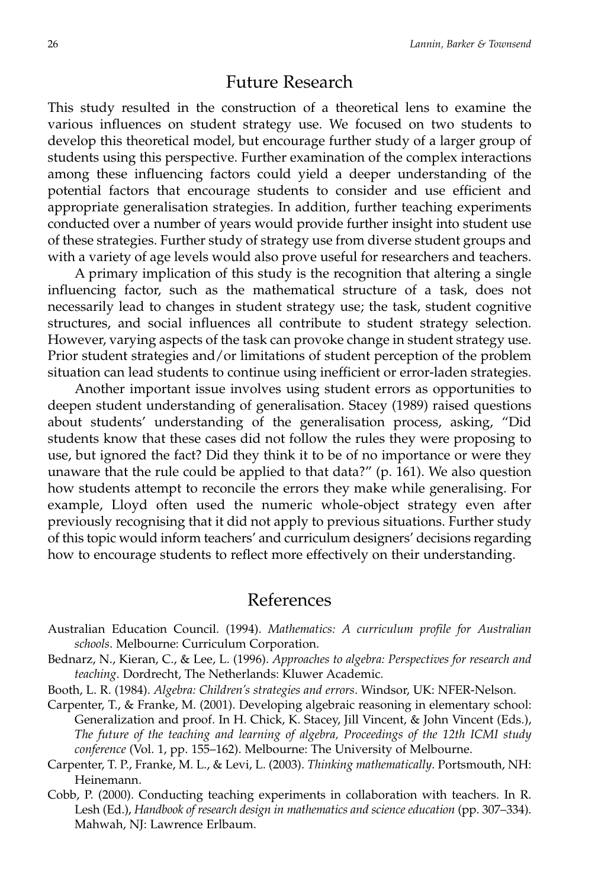### Future Research

This study resulted in the construction of a theoretical lens to examine the various influences on student strategy use. We focused on two students to develop this theoretical model, but encourage further study of a larger group of students using this perspective. Further examination of the complex interactions among these influencing factors could yield a deeper understanding of the potential factors that encourage students to consider and use efficient and appropriate generalisation strategies. In addition, further teaching experiments conducted over a number of years would provide further insight into student use of these strategies. Further study of strategy use from diverse student groups and with a variety of age levels would also prove useful for researchers and teachers.

A primary implication of this study is the recognition that altering a single influencing factor, such as the mathematical structure of a task, does not necessarily lead to changes in student strategy use; the task, student cognitive structures, and social influences all contribute to student strategy selection. However, varying aspects of the task can provoke change in student strategy use. Prior student strategies and/or limitations of student perception of the problem situation can lead students to continue using inefficient or error-laden strategies.

Another important issue involves using student errors as opportunities to deepen student understanding of generalisation. Stacey (1989) raised questions about students' understanding of the generalisation process, asking, "Did students know that these cases did not follow the rules they were proposing to use, but ignored the fact? Did they think it to be of no importance or were they unaware that the rule could be applied to that data?" (p. 161). We also question how students attempt to reconcile the errors they make while generalising. For example, Lloyd often used the numeric whole-object strategy even after previously recognising that it did not apply to previous situations. Further study of this topic would inform teachers' and curriculum designers' decisions regarding how to encourage students to reflect more effectively on their understanding.

### References

- Australian Education Council. (1994). *Mathematics: A curriculum profile for Australian schools*. Melbourne: Curriculum Corporation.
- Bednarz, N., Kieran, C., & Lee, L. (1996). *Approaches to algebra: Perspectives for research and teaching*. Dordrecht, The Netherlands: Kluwer Academic.
- Booth, L. R. (1984). *Algebra: Children's strategies and errors*. Windsor, UK: NFER-Nelson.
- Carpenter, T., & Franke, M. (2001). Developing algebraic reasoning in elementary school: Generalization and proof. In H. Chick, K. Stacey, Jill Vincent, & John Vincent (Eds.), *The future of the teaching and learning of algebra, Proceedings of the 12th ICMI study conference* (Vol. 1, pp. 155–162). Melbourne: The University of Melbourne.
- Carpenter, T. P., Franke, M. L., & Levi, L. (2003). *Thinking mathematically*. Portsmouth, NH: Heinemann.
- Cobb, P. (2000). Conducting teaching experiments in collaboration with teachers. In R. Lesh (Ed.), *Handbook of research design in mathematics and science education* (pp. 307–334). Mahwah, NJ: Lawrence Erlbaum.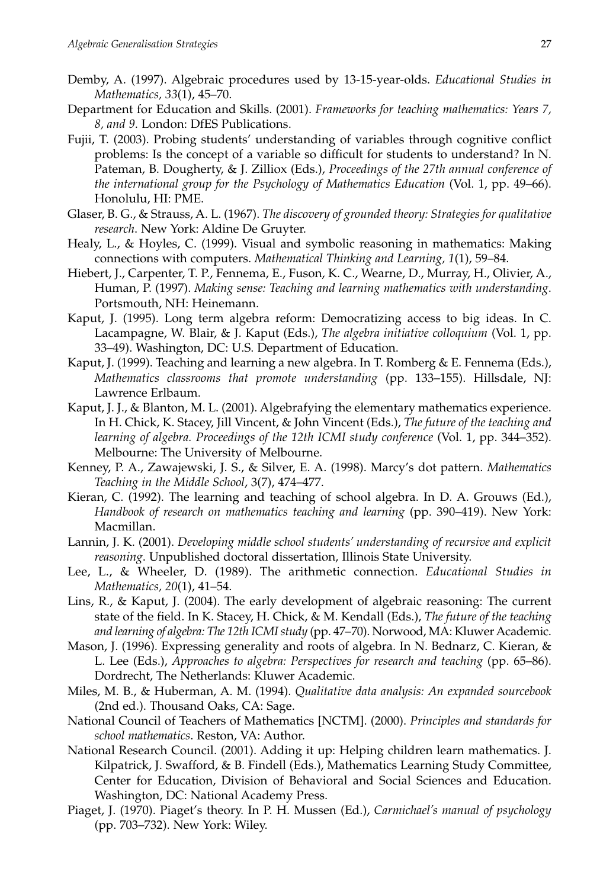- Demby, A. (1997). Algebraic procedures used by 13-15-year-olds. *Educational Studies in Mathematics, 33*(1), 45–70.
- Department for Education and Skills. (2001). *Frameworks for teaching mathematics: Years 7, 8, and 9*. London: DfES Publications.
- Fujii, T. (2003). Probing students' understanding of variables through cognitive conflict problems: Is the concept of a variable so difficult for students to understand? In N. Pateman, B. Dougherty, & J. Zilliox (Eds.), *Proceedings of the 27th annual conference of the international group for the Psychology of Mathematics Education* (Vol. 1, pp. 49–66). Honolulu, HI: PME.
- Glaser, B. G., & Strauss, A. L. (1967). *The discovery of grounded theory: Strategies for qualitative research*. New York: Aldine De Gruyter.
- Healy, L., & Hoyles, C. (1999). Visual and symbolic reasoning in mathematics: Making connections with computers. *Mathematical Thinking and Learning, 1*(1), 59–84.
- Hiebert, J., Carpenter, T. P., Fennema, E., Fuson, K. C., Wearne, D., Murray, H., Olivier, A., Human, P. (1997). *Making sense: Teaching and learning mathematics with understanding*. Portsmouth, NH: Heinemann.
- Kaput, J. (1995). Long term algebra reform: Democratizing access to big ideas. In C. Lacampagne, W. Blair, & J. Kaput (Eds.), *The algebra initiative colloquium* (Vol. 1, pp. 33–49). Washington, DC: U.S. Department of Education.
- Kaput, J. (1999). Teaching and learning a new algebra. In T. Romberg & E. Fennema (Eds.), *Mathematics classrooms that promote understanding* (pp. 133–155). Hillsdale, NJ: Lawrence Erlbaum.
- Kaput, J. J., & Blanton, M. L. (2001). Algebrafying the elementary mathematics experience. In H. Chick, K. Stacey, Jill Vincent, & John Vincent (Eds.), *The future of the teaching and learning of algebra. Proceedings of the 12th ICMI study conference* (Vol. 1, pp. 344–352). Melbourne: The University of Melbourne.
- Kenney, P. A., Zawajewski, J. S., & Silver, E. A. (1998). Marcy's dot pattern. *Mathematics Teaching in the Middle School*, 3(7), 474–477.
- Kieran, C. (1992). The learning and teaching of school algebra. In D. A. Grouws (Ed.), *Handbook of research on mathematics teaching and learning* (pp. 390–419). New York: Macmillan.
- Lannin, J. K. (2001). *Developing middle school students' understanding of recursive and explicit reasoning*. Unpublished doctoral dissertation, Illinois State University.
- Lee, L., & Wheeler, D. (1989). The arithmetic connection. *Educational Studies in Mathematics, 20*(1), 41–54.
- Lins, R., & Kaput, J. (2004). The early development of algebraic reasoning: The current state of the field. In K. Stacey, H. Chick, & M. Kendall (Eds.), *The future of the teaching and learning of algebra: The 12th ICMI study* (pp. 47–70). Norwood, MA: Kluwer Academic.
- Mason, J. (1996). Expressing generality and roots of algebra. In N. Bednarz, C. Kieran, & L. Lee (Eds.), *Approaches to algebra: Perspectives for research and teaching* (pp. 65–86). Dordrecht, The Netherlands: Kluwer Academic.
- Miles, M. B., & Huberman, A. M. (1994). *Qualitative data analysis: An expanded sourcebook* (2nd ed.). Thousand Oaks, CA: Sage.
- National Council of Teachers of Mathematics [NCTM]. (2000). *Principles and standards for school mathematics*. Reston, VA: Author.
- National Research Council. (2001). Adding it up: Helping children learn mathematics. J. Kilpatrick, J. Swafford, & B. Findell (Eds.), Mathematics Learning Study Committee, Center for Education, Division of Behavioral and Social Sciences and Education. Washington, DC: National Academy Press.
- Piaget, J. (1970). Piaget's theory. In P. H. Mussen (Ed.), *Carmichael's manual of psychology* (pp. 703–732). New York: Wiley.